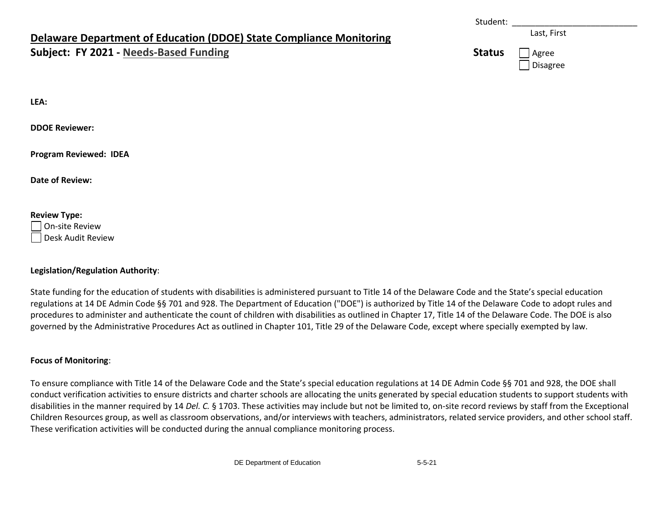# **Delaware Department of Education (DDOE) State Compliance Monitoring**

### **Subject: FY 2021 - Needs-Based Funding**

|               | Last, First               |
|---------------|---------------------------|
| <b>Status</b> | Agree<br>$\vert$ Disagree |

Student: \_\_\_\_\_\_\_\_\_\_\_\_\_\_\_\_\_\_\_\_\_\_\_\_\_\_\_

**LEA:** 

**DDOE Reviewer:** 

**Program Reviewed: IDEA**

**Date of Review:** 

#### **Review Type:**

On-site Review Desk Audit Review

#### **Legislation/Regulation Authority**:

State funding for the education of students with disabilities is administered pursuant to Title 14 of the Delaware Code and the State's special education regulations at 14 DE Admin Code §§ 701 and 928. The Department of Education ("DOE") is authorized by Title 14 of the Delaware Code to adopt rules and procedures to administer and authenticate the count of children with disabilities as outlined in Chapter 17, Title 14 of the Delaware Code. The DOE is also governed by the Administrative Procedures Act as outlined in Chapter 101, Title 29 of the Delaware Code, except where specially exempted by law.

#### **Focus of Monitoring**:

To ensure compliance with Title 14 of the Delaware Code and the State's special education regulations at 14 DE Admin Code §§ 701 and 928, the DOE shall conduct verification activities to ensure districts and charter schools are allocating the units generated by special education students to support students with disabilities in the manner required by 14 *Del. C.* § 1703. These activities may include but not be limited to, on-site record reviews by staff from the Exceptional Children Resources group, as well as classroom observations, and/or interviews with teachers, administrators, related service providers, and other school staff. These verification activities will be conducted during the annual compliance monitoring process.

DE Department of Education 5-5-21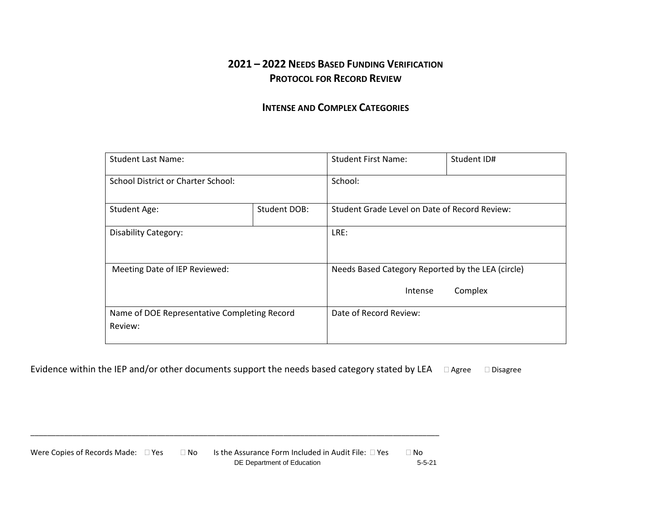## **2021 – 2022 NEEDS BASED FUNDING VERIFICATION PROTOCOL FOR RECORD REVIEW**

### **INTENSE AND COMPLEX CATEGORIES**

| <b>Student Last Name:</b>                               |  | <b>Student First Name:</b>                                              | Student ID# |  |  |
|---------------------------------------------------------|--|-------------------------------------------------------------------------|-------------|--|--|
| School District or Charter School:                      |  | School:                                                                 |             |  |  |
| Student DOB:<br><b>Student Age:</b>                     |  | Student Grade Level on Date of Record Review:                           |             |  |  |
| <b>Disability Category:</b>                             |  | LRE:                                                                    |             |  |  |
| Meeting Date of IEP Reviewed:                           |  | Needs Based Category Reported by the LEA (circle)<br>Complex<br>Intense |             |  |  |
| Name of DOE Representative Completing Record<br>Review: |  | Date of Record Review:                                                  |             |  |  |

Evidence within the IEP and/or other documents support the needs based category stated by LEA  $\Box$  Agree  $\Box$  Disagree

DE Department of Education 5-5-21 Were Copies of Records Made:  $\Box$  Yes  $\Box$  No Is the Assurance Form Included in Audit File:  $\Box$  Yes  $\Box$  No

\_\_\_\_\_\_\_\_\_\_\_\_\_\_\_\_\_\_\_\_\_\_\_\_\_\_\_\_\_\_\_\_\_\_\_\_\_\_\_\_\_\_\_\_\_\_\_\_\_\_\_\_\_\_\_\_\_\_\_\_\_\_\_\_\_\_\_\_\_\_\_\_\_\_\_\_\_\_\_\_\_\_\_\_\_\_\_\_\_\_\_\_\_\_\_\_\_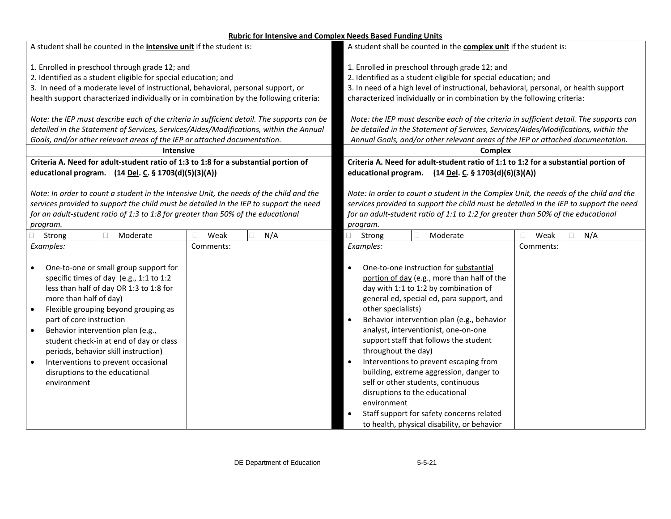#### **Rubric for Intensive and Complex Needs Based Funding Units**

| A student shall be counted in the <b>intensive unit</b> if the student is:                 |             | A student shall be counted in the <b>complex unit</b> if the student is:                |             |  |  |
|--------------------------------------------------------------------------------------------|-------------|-----------------------------------------------------------------------------------------|-------------|--|--|
| 1. Enrolled in preschool through grade 12; and                                             |             | 1. Enrolled in preschool through grade 12; and                                          |             |  |  |
| 2. Identified as a student eligible for special education; and                             |             | 2. Identified as a student eligible for special education; and                          |             |  |  |
| 3. In need of a moderate level of instructional, behavioral, personal support, or          |             | 3. In need of a high level of instructional, behavioral, personal, or health support    |             |  |  |
| health support characterized individually or in combination by the following criteria:     |             | characterized individually or in combination by the following criteria:                 |             |  |  |
| Note: the IEP must describe each of the criteria in sufficient detail. The supports can be |             | Note: the IEP must describe each of the criteria in sufficient detail. The supports can |             |  |  |
| detailed in the Statement of Services, Services/Aides/Modifications, within the Annual     |             | be detailed in the Statement of Services, Services/Aides/Modifications, within the      |             |  |  |
| Goals, and/or other relevant areas of the IEP or attached documentation.                   |             | Annual Goals, and/or other relevant areas of the IEP or attached documentation.         |             |  |  |
| <b>Intensive</b>                                                                           |             | <b>Complex</b>                                                                          |             |  |  |
| Criteria A. Need for adult-student ratio of 1:3 to 1:8 for a substantial portion of        |             | Criteria A. Need for adult-student ratio of 1:1 to 1:2 for a substantial portion of     |             |  |  |
| educational program. (14 Del. C. § 1703(d)(5)(3)(A))                                       |             | educational program. (14 Del. C. § 1703(d)(6)(3)(A))                                    |             |  |  |
| Note: In order to count a student in the Intensive Unit, the needs of the child and the    |             | Note: In order to count a student in the Complex Unit, the needs of the child and the   |             |  |  |
| services provided to support the child must be detailed in the IEP to support the need     |             | services provided to support the child must be detailed in the IEP to support the need  |             |  |  |
| for an adult-student ratio of 1:3 to 1:8 for greater than 50% of the educational           |             | for an adult-student ratio of 1:1 to 1:2 for greater than 50% of the educational        |             |  |  |
| program.                                                                                   |             | program.                                                                                |             |  |  |
| Strong<br>Moderate                                                                         | N/A<br>Weak | Strong<br>$\Box$<br>Moderate                                                            | Weak<br>N/A |  |  |
| Examples:                                                                                  | Comments:   | Examples:                                                                               | Comments:   |  |  |
|                                                                                            |             |                                                                                         |             |  |  |
| One-to-one or small group support for                                                      |             | One-to-one instruction for substantial<br>$\bullet$                                     |             |  |  |
| specific times of day (e.g., 1:1 to 1:2                                                    |             | portion of day (e.g., more than half of the                                             |             |  |  |
| less than half of day OR 1:3 to 1:8 for                                                    |             | day with 1:1 to 1:2 by combination of                                                   |             |  |  |
| more than half of day)                                                                     |             | general ed, special ed, para support, and                                               |             |  |  |
| Flexible grouping beyond grouping as                                                       |             | other specialists)                                                                      |             |  |  |
| part of core instruction                                                                   |             | Behavior intervention plan (e.g., behavior<br>$\bullet$                                 |             |  |  |
| Behavior intervention plan (e.g.,                                                          |             | analyst, interventionist, one-on-one                                                    |             |  |  |
| student check-in at end of day or class                                                    |             | support staff that follows the student                                                  |             |  |  |
| periods, behavior skill instruction)                                                       |             | throughout the day)                                                                     |             |  |  |
| Interventions to prevent occasional                                                        |             | Interventions to prevent escaping from<br>$\bullet$                                     |             |  |  |
| disruptions to the educational                                                             |             | building, extreme aggression, danger to                                                 |             |  |  |
| environment                                                                                |             | self or other students, continuous                                                      |             |  |  |
|                                                                                            |             | disruptions to the educational                                                          |             |  |  |
|                                                                                            |             | environment                                                                             |             |  |  |
|                                                                                            |             | Staff support for safety concerns related                                               |             |  |  |
|                                                                                            |             | to health, physical disability, or behavior                                             |             |  |  |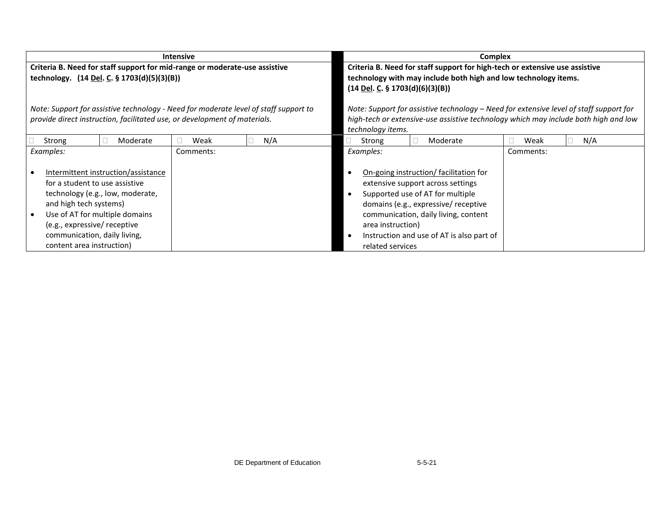|                                                                                                                                                                                                                                                                    | <b>Intensive</b>                                                                     | <b>Complex</b>                                                                                                                                                                                                                                                                        |             |  |  |
|--------------------------------------------------------------------------------------------------------------------------------------------------------------------------------------------------------------------------------------------------------------------|--------------------------------------------------------------------------------------|---------------------------------------------------------------------------------------------------------------------------------------------------------------------------------------------------------------------------------------------------------------------------------------|-------------|--|--|
| Criteria B. Need for staff support for mid-range or moderate-use assistive<br>technology. (14 Del. C. § 1703(d)(5)(3)(B))                                                                                                                                          |                                                                                      | Criteria B. Need for staff support for high-tech or extensive use assistive<br>technology with may include both high and low technology items.<br>$(14$ Del. C. § 1703(d)(6)(3)(B))                                                                                                   |             |  |  |
| provide direct instruction, facilitated use, or development of materials.                                                                                                                                                                                          | Note: Support for assistive technology - Need for moderate level of staff support to | Note: Support for assistive technology - Need for extensive level of staff support for<br>high-tech or extensive-use assistive technology which may include both high and low<br>technology items.                                                                                    |             |  |  |
| Strong<br>Moderate                                                                                                                                                                                                                                                 | N/A<br>Weak                                                                          | Strong<br>Moderate                                                                                                                                                                                                                                                                    | N/A<br>Weak |  |  |
| Examples:                                                                                                                                                                                                                                                          | Comments:                                                                            | Examples:                                                                                                                                                                                                                                                                             | Comments:   |  |  |
| Intermittent instruction/assistance<br>for a student to use assistive<br>technology (e.g., low, moderate,<br>and high tech systems)<br>Use of AT for multiple domains<br>(e.g., expressive/ receptive<br>communication, daily living,<br>content area instruction) |                                                                                      | On-going instruction/ facilitation for<br>extensive support across settings<br>Supported use of AT for multiple<br>domains (e.g., expressive/ receptive<br>communication, daily living, content<br>area instruction)<br>Instruction and use of AT is also part of<br>related services |             |  |  |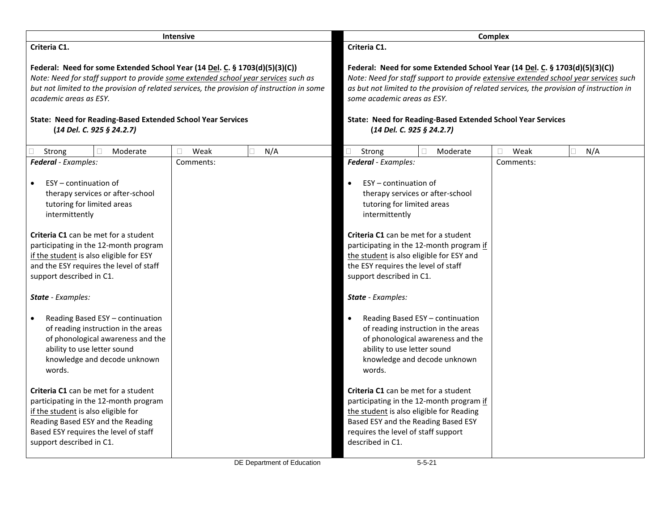|                                                                                                                                                                                                                                                                                                                                                                                       | <b>Intensive</b> |                            |                                                                                                                                                                                                               |                                                                                                                                                   | Complex   |                                                                                                                                                                                  |
|---------------------------------------------------------------------------------------------------------------------------------------------------------------------------------------------------------------------------------------------------------------------------------------------------------------------------------------------------------------------------------------|------------------|----------------------------|---------------------------------------------------------------------------------------------------------------------------------------------------------------------------------------------------------------|---------------------------------------------------------------------------------------------------------------------------------------------------|-----------|----------------------------------------------------------------------------------------------------------------------------------------------------------------------------------|
| Criteria C1.                                                                                                                                                                                                                                                                                                                                                                          |                  |                            | Criteria C1.                                                                                                                                                                                                  |                                                                                                                                                   |           |                                                                                                                                                                                  |
| Federal: Need for some Extended School Year (14 Del. C. § 1703(d)(5)(3)(C))<br>Note: Need for staff support to provide some extended school year services such as<br>but not limited to the provision of related services, the provision of instruction in some<br>academic areas as ESY.<br>State: Need for Reading-Based Extended School Year Services<br>(14 Del. C. 925 § 24.2.7) |                  |                            | some academic areas as ESY.<br>(14 Del. C. 925 § 24.2.7)                                                                                                                                                      | Federal: Need for some Extended School Year (14 Del. C. § 1703(d)(5)(3)(C))<br><b>State: Need for Reading-Based Extended School Year Services</b> |           | Note: Need for staff support to provide extensive extended school year services such<br>as but not limited to the provision of related services, the provision of instruction in |
| Moderate<br>Strong                                                                                                                                                                                                                                                                                                                                                                    | Weak<br>□        | N/A                        | $\Box$<br>Strong                                                                                                                                                                                              | Moderate                                                                                                                                          | Weak<br>П | N/A<br>П.                                                                                                                                                                        |
| Federal - Examples:                                                                                                                                                                                                                                                                                                                                                                   | Comments:        |                            | Federal - Examples:                                                                                                                                                                                           |                                                                                                                                                   | Comments: |                                                                                                                                                                                  |
| ESY - continuation of<br>$\bullet$<br>therapy services or after-school<br>tutoring for limited areas<br>intermittently<br>Criteria C1 can be met for a student<br>participating in the 12-month program<br>if the student is also eligible for ESY<br>and the ESY requires the level of staff                                                                                         |                  |                            | ESY - continuation of<br>$\bullet$<br>tutoring for limited areas<br>intermittently<br>Criteria C1 can be met for a student<br>the student is also eligible for ESY and<br>the ESY requires the level of staff | therapy services or after-school<br>participating in the 12-month program if                                                                      |           |                                                                                                                                                                                  |
| support described in C1.                                                                                                                                                                                                                                                                                                                                                              |                  |                            | support described in C1.                                                                                                                                                                                      |                                                                                                                                                   |           |                                                                                                                                                                                  |
| State - Examples:                                                                                                                                                                                                                                                                                                                                                                     |                  |                            | <b>State</b> - Examples:                                                                                                                                                                                      |                                                                                                                                                   |           |                                                                                                                                                                                  |
| Reading Based ESY - continuation<br>$\bullet$<br>of reading instruction in the areas<br>of phonological awareness and the<br>ability to use letter sound<br>knowledge and decode unknown<br>words.                                                                                                                                                                                    |                  |                            | $\bullet$<br>ability to use letter sound<br>words.                                                                                                                                                            | Reading Based ESY - continuation<br>of reading instruction in the areas<br>of phonological awareness and the<br>knowledge and decode unknown      |           |                                                                                                                                                                                  |
| Criteria C1 can be met for a student<br>participating in the 12-month program<br>if the student is also eligible for<br>Reading Based ESY and the Reading<br>Based ESY requires the level of staff<br>support described in C1.                                                                                                                                                        |                  | DE Department of Education | Criteria C1 can be met for a student<br>the student is also eligible for Reading<br>Based ESY and the Reading Based ESY<br>requires the level of staff support<br>described in C1.                            | participating in the 12-month program if<br>$5 - 5 - 21$                                                                                          |           |                                                                                                                                                                                  |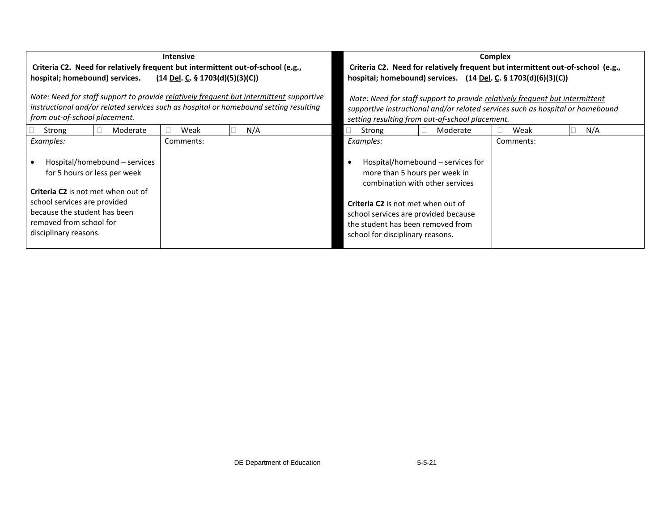|                                                                                                                                                                                               | <b>Intensive</b> |                                                                                                                                                       |                                                                                                                                                     |                                                                      | <b>Complex</b> |           |  |     |
|-----------------------------------------------------------------------------------------------------------------------------------------------------------------------------------------------|------------------|-------------------------------------------------------------------------------------------------------------------------------------------------------|-----------------------------------------------------------------------------------------------------------------------------------------------------|----------------------------------------------------------------------|----------------|-----------|--|-----|
| Criteria C2. Need for relatively frequent but intermittent out-of-school (e.g.,<br>hospital; homebound) services.<br>$(14 \underline{\text{Del}}. \underline{\text{C}}. \S 1703(d)(5)(3)(C))$ |                  | Criteria C2. Need for relatively frequent but intermittent out-of-school (e.g.,<br>hospital; homebound) services. $(14$ Del. C. § 1703 $(d)(6)(3)(C)$ |                                                                                                                                                     |                                                                      |                |           |  |     |
| Note: Need for staff support to provide relatively frequent but intermittent supportive<br>instructional and/or related services such as hospital or homebound setting resulting              |                  | Note: Need for staff support to provide relatively frequent but intermittent                                                                          |                                                                                                                                                     |                                                                      |                |           |  |     |
| from out-of-school placement.                                                                                                                                                                 |                  |                                                                                                                                                       | supportive instructional and/or related services such as hospital or homebound<br>setting resulting from out-of-school placement.                   |                                                                      |                |           |  |     |
| Strong<br>Moderate                                                                                                                                                                            | Weak             | N/A                                                                                                                                                   | Strong                                                                                                                                              | Moderate                                                             |                | Weak      |  | N/A |
| Examples:                                                                                                                                                                                     | Comments:        |                                                                                                                                                       | Examples:                                                                                                                                           |                                                                      |                | Comments: |  |     |
| Hospital/homebound – services<br>for 5 hours or less per week<br><b>Criteria C2</b> is not met when out of                                                                                    |                  |                                                                                                                                                       | more than 5 hours per week in                                                                                                                       | Hospital/homebound - services for<br>combination with other services |                |           |  |     |
| school services are provided<br>because the student has been<br>removed from school for<br>disciplinary reasons.                                                                              |                  |                                                                                                                                                       | Criteria C2 is not met when out of<br>school services are provided because<br>the student has been removed from<br>school for disciplinary reasons. |                                                                      |                |           |  |     |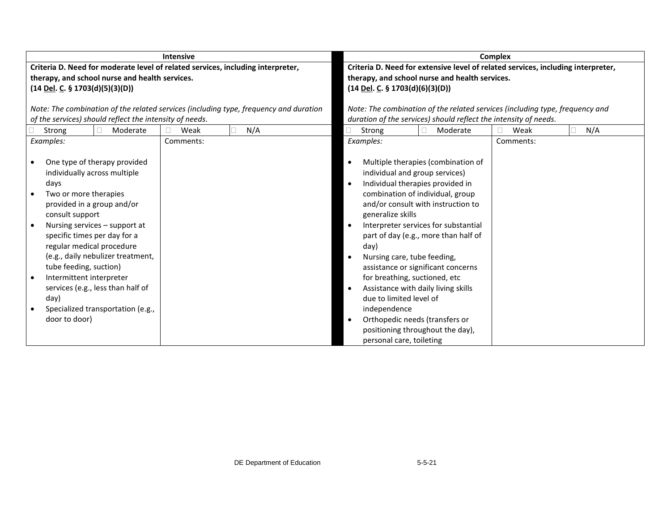|                                                                                                                                                                                                                                                                         | <b>Intensive</b>                                                                      |                                                                                                                                                                                                                                                                              | <b>Complex</b>   |
|-------------------------------------------------------------------------------------------------------------------------------------------------------------------------------------------------------------------------------------------------------------------------|---------------------------------------------------------------------------------------|------------------------------------------------------------------------------------------------------------------------------------------------------------------------------------------------------------------------------------------------------------------------------|------------------|
| therapy, and school nurse and health services.<br>$(14$ Del. C. § 1703(d)(5)(3)(D))                                                                                                                                                                                     | Criteria D. Need for moderate level of related services, including interpreter,       | Criteria D. Need for extensive level of related services, including interpreter,<br>therapy, and school nurse and health services.<br>$(14$ Del. C. § 1703(d)(6)(3)(D))                                                                                                      |                  |
|                                                                                                                                                                                                                                                                         | Note: The combination of the related services (including type, frequency and duration | Note: The combination of the related services (including type, frequency and                                                                                                                                                                                                 |                  |
| of the services) should reflect the intensity of needs.                                                                                                                                                                                                                 |                                                                                       | duration of the services) should reflect the intensity of needs.                                                                                                                                                                                                             |                  |
| Moderate<br>Strong                                                                                                                                                                                                                                                      | N/A<br>Weak                                                                           | Strong<br>Moderate                                                                                                                                                                                                                                                           | N/A<br>Weak<br>Г |
| Examples:<br>One type of therapy provided<br>individually across multiple<br>days<br>Two or more therapies<br>provided in a group and/or<br>consult support                                                                                                             | Comments:                                                                             | Examples:<br>Multiple therapies (combination of<br>individual and group services)<br>Individual therapies provided in<br>combination of individual, group<br>and/or consult with instruction to<br>generalize skills                                                         | Comments:        |
| Nursing services - support at<br>specific times per day for a<br>regular medical procedure<br>(e.g., daily nebulizer treatment,<br>tube feeding, suction)<br>Intermittent interpreter<br>services (e.g., less than half of<br>day)<br>Specialized transportation (e.g., |                                                                                       | Interpreter services for substantial<br>part of day (e.g., more than half of<br>day)<br>Nursing care, tube feeding,<br>assistance or significant concerns<br>for breathing, suctioned, etc<br>Assistance with daily living skills<br>due to limited level of<br>independence |                  |
| door to door)                                                                                                                                                                                                                                                           |                                                                                       | Orthopedic needs (transfers or<br>positioning throughout the day),<br>personal care, toileting                                                                                                                                                                               |                  |